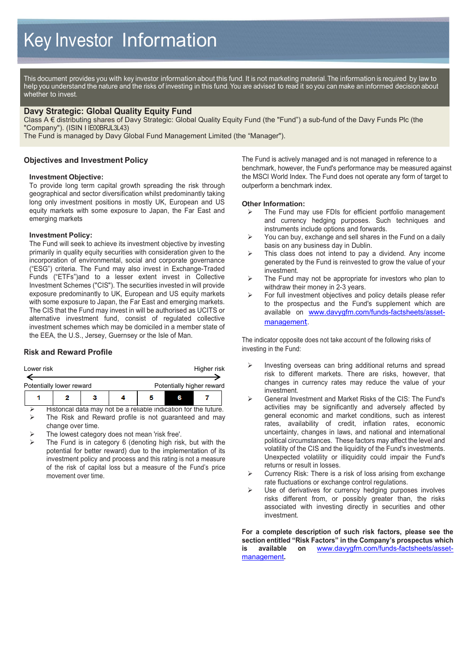This document provides you with key investor information about this fund. It is not marketing material. The information is required by law to help you understand the nature and the risks of investing in this fund. You are advised to read it so you can make an informed decision about whether to invest.

## **Davy Strategic: Global Quality Equity Fund**

Class A € distributing shares of Davy Strategic: Global Quality Equity Fund (the "Fund") a sub-fund of the Davy Funds Plc (the "Company"). (ISIN I IE00BRJL3L43)

The Fund is managed by Davy Global Fund Management Limited (the "Manager").

## **Objectives and Investment Policy**

#### **Investment Objective:**

To provide long term capital growth spreading the risk through geographical and sector diversification whilst predominantly taking long only investment positions in mostly UK, European and US equity markets with some exposure to Japan, the Far East and emerging markets

#### **Investment Policy:**

The Fund will seek to achieve its investment objective by investing primarily in quality equity securities with consideration given to the incorporation of environmental, social and corporate governance ("ESG") criteria. The Fund may also invest in Exchange-Traded Funds ("ETFs")and to a lesser extent invest in Collective Investment Schemes ("CIS"). The securities invested in will provide exposure predominantly to UK, European and US equity markets with some exposure to Japan, the Far East and emerging markets. The CIS that the Fund may invest in will be authorised as UCITS or alternative investment fund, consist of regulated collective investment schemes which may be domiciled in a member state of the EEA, the U.S., Jersey, Guernsey or the Isle of Man.

#### **Risk and Reward Profile**

| Lower risk               | Higher risk |                           |  |  |  |  |
|--------------------------|-------------|---------------------------|--|--|--|--|
| Potentially lower reward |             | Potentially higher reward |  |  |  |  |
| ,                        |             |                           |  |  |  |  |

 Historical data may not be a reliable indication for the future. The Risk and Reward profile is not guaranteed and may change over time.

- The lowest category does not mean 'risk free'.
- The Fund is in category 6 (denoting high risk, but with the potential for better reward) due to the implementation of its investment policy and process and this rating is not a measure of the risk of capital loss but a measure of the Fund's price movement over time.

The Fund is actively managed and is not managed in reference to a benchmark, however, the Fund's performance may be measured against the MSCI World Index. The Fund does not operate any form of target to outperform a benchmark index.

# **Other Information:**<br> **Example Fund manuform**

- The Fund may use FDIs for efficient portfolio management and currency hedging purposes. Such techniques and instruments include options and forwards.
- $\triangleright$  You can buy, exchange and sell shares in the Fund on a daily basis on any business day in Dublin.
- $\triangleright$  This class does not intend to pay a dividend. Any income generated by the Fund is reinvested to grow the value of your investment.
- $\triangleright$  The Fund may not be appropriate for investors who plan to withdraw their money in 2-3 years.
- $\triangleright$  For full investment objectives and policy details please refer to the prospectus and the Fund's supplement which are available on [www.davygfm.com/funds-factsheets/asset](http://www.davygfm.com/funds-factsheets/asset-management)[managemen](http://www.davygfm.com/funds-factsheets/asset-management)t.

The indicator opposite does not take account of the following risks of investing in the Fund:

- $\triangleright$  Investing overseas can bring additional returns and spread risk to different markets. There are risks, however, that changes in currency rates may reduce the value of your investment.
- General Investment and Market Risks of the CIS: The Fund's activities may be significantly and adversely affected by general economic and market conditions, such as interest rates, availability of credit, inflation rates, economic uncertainty, changes in laws, and national and international political circumstances. These factors may affect the level and volatility of the CIS and the liquidity of the Fund's investments. Unexpected volatility or illiquidity could impair the Fund's returns or result in losses.
- $\triangleright$  Currency Risk: There is a risk of loss arising from exchange rate fluctuations or exchange control regulations.
- $\triangleright$  Use of derivatives for currency hedging purposes involves risks different from, or possibly greater than, the risks associated with investing directly in securities and other investment.

**For a complete description of such risk factors, please see the section entitled "Risk Factors" in the Company's prospectus which is available on** [www.davygfm.com/funds-factsheets/asset](http://www.davygfm.com/funds-factsheets/asset-management)[management](http://www.davygfm.com/funds-factsheets/asset-management)**.**